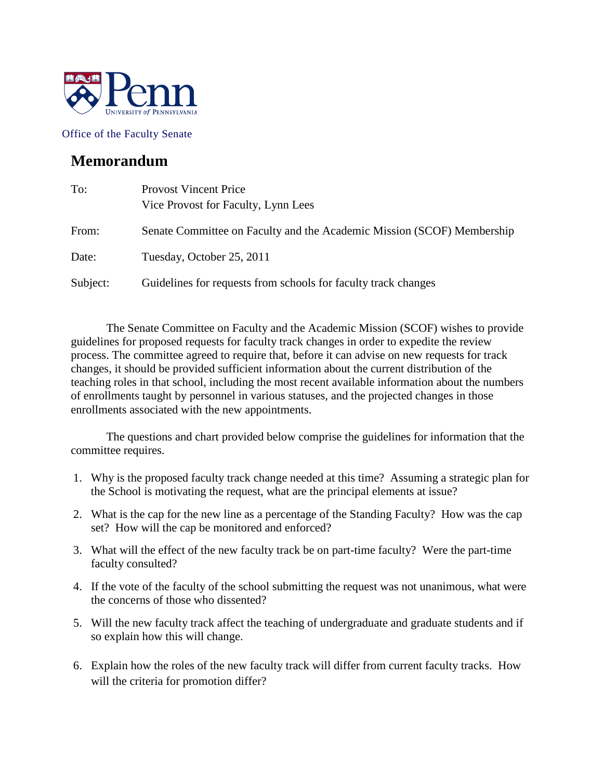

Office of the Faculty Senate

## **Memorandum**

| To:      | <b>Provost Vincent Price</b><br>Vice Provost for Faculty, Lynn Lees    |  |
|----------|------------------------------------------------------------------------|--|
| From:    | Senate Committee on Faculty and the Academic Mission (SCOF) Membership |  |
| Date:    | Tuesday, October 25, 2011                                              |  |
| Subject: | Guidelines for requests from schools for faculty track changes         |  |

The Senate Committee on Faculty and the Academic Mission (SCOF) wishes to provide guidelines for proposed requests for faculty track changes in order to expedite the review process. The committee agreed to require that, before it can advise on new requests for track changes, it should be provided sufficient information about the current distribution of the teaching roles in that school, including the most recent available information about the numbers of enrollments taught by personnel in various statuses, and the projected changes in those enrollments associated with the new appointments.

The questions and chart provided below comprise the guidelines for information that the committee requires.

- 1. Why is the proposed faculty track change needed at this time? Assuming a strategic plan for the School is motivating the request, what are the principal elements at issue?
- 2. What is the cap for the new line as a percentage of the Standing Faculty? How was the cap set? How will the cap be monitored and enforced?
- 3. What will the effect of the new faculty track be on part-time faculty? Were the part-time faculty consulted?
- 4. If the vote of the faculty of the school submitting the request was not unanimous, what were the concerns of those who dissented?
- 5. Will the new faculty track affect the teaching of undergraduate and graduate students and if so explain how this will change.
- 6. Explain how the roles of the new faculty track will differ from current faculty tracks. How will the criteria for promotion differ?